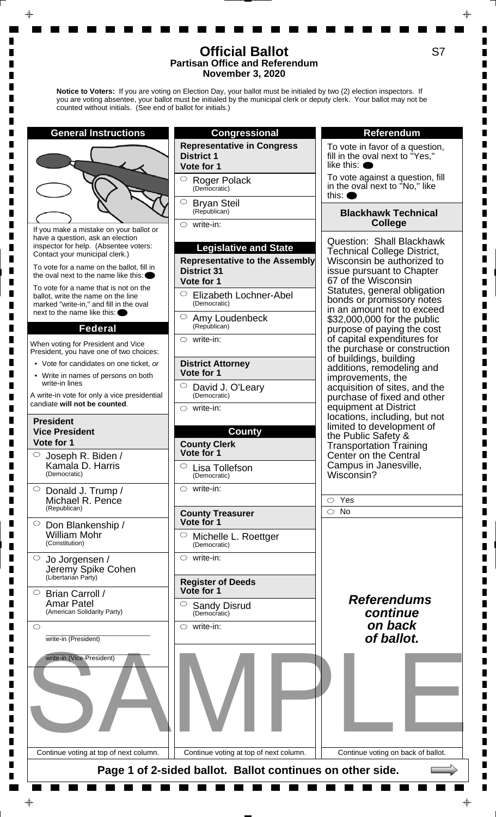**Notice to Voters:** If you are voting on Election Day, your ballot must be initialed by two (2) election inspectors. If you are voting absentee, your ballot must be initialed by the municipal clerk or deputy clerk. Your ballot may not be counted without initials. (See end of ballot for initials.)



п

ш

П  $\blacksquare$ 

П П П  $\blacksquare$  $\blacksquare$  $\blacksquare$ 

П

Г Г П

П  $\blacksquare$  $\blacksquare$ П П П

Ш П

Г П

П

Г П

S7